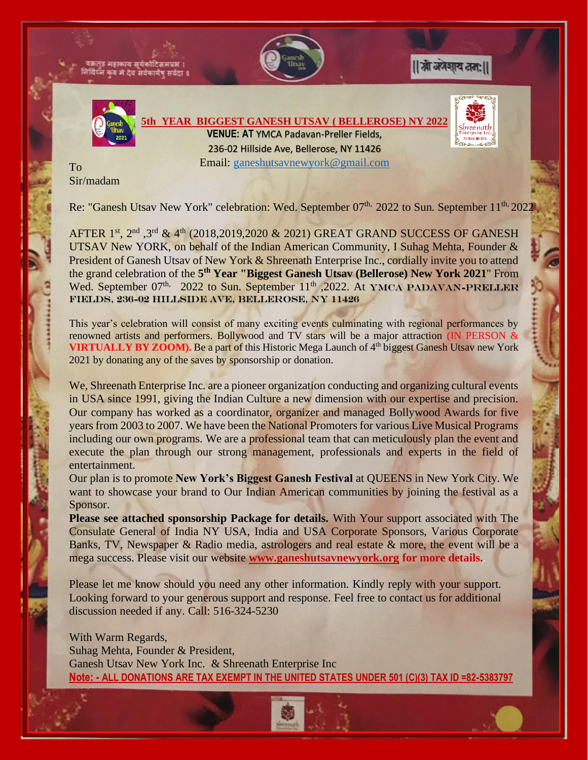

Sir/madam

Re: "Ganesh Utsav New York" celebration: Wed. September 07<sup>th,</sup> 2022 to Sun. September 11<sup>th,</sup> 2022

AFTER 1<sup>st</sup>, 2<sup>nd</sup>, 3<sup>rd</sup> & 4<sup>th</sup> (2018,2019,2020 & 2021) GREAT GRAND SUCCESS OF GANESH UTSAV New YORK, on behalf of the Indian American Community, I Suhag Mehta, Founder & President of Ganesh Utsav of New York & Shreenath Enterprise Inc., cordially invite you to attend the grand celebration of the **5 th Year "Biggest Ganesh Utsav (Bellerose) New York 2021**" From Wed. September  $07<sup>th</sup>$ , 2022 to Sun. September  $11<sup>th</sup>$ , 2022. At YMCA PADAVAN-PRELLER Fields, 236-02 Hillside Ave, Bellerose, NY 11426

This year's celebration will consist of many exciting events culminating with regional performances by renowned artists and performers. Bollywood and TV stars will be a major attraction (IN PERSON & **VIRTUALLY BY ZOOM).** Be a part of this Historic Mega Launch of 4<sup>th</sup> biggest Ganesh Utsav new York 2021 by donating any of the saves by sponsorship or donation.

We, Shreenath Enterprise Inc. are a pioneer organization conducting and organizing cultural events in USA since 1991, giving the Indian Culture a new dimension with our expertise and precision. Our company has worked as a coordinator, organizer and managed Bollywood Awards for five years from 2003 to 2007. We have been the National Promoters for various Live Musical Programs including our own programs. We are a professional team that can meticulously plan the event and execute the plan through our strong management, professionals and experts in the field of entertainment.

Our plan is to promote **New York's Biggest Ganesh Festival** at QUEENS in New York City. We want to showcase your brand to Our Indian American communities by joining the festival as a Sponsor.

**Please see attached sponsorship Package for details.** With Your support associated with The Consulate General of India NY USA, India and USA Corporate Sponsors, Various Corporate Banks, TV, Newspaper & Radio media, astrologers and real estate & more, the event will be a mega success. Please visit our website **[www.ganeshutsavnewyork.org](http://www.ganeshutsavnewyork.org/) for more details.**.

Please let me know should you need any other information. Kindly reply with your support. Looking forward to your generous support and response. Feel free to contact us for additional discussion needed if any. Call: 516-324-5230

With Warm Regards, Suhag Mehta, Founder & President, Ganesh Utsav New York Inc. & Shreenath Enterprise Inc **Note: - ALL DONATIONS ARE TAX EXEMPT IN THE UNITED STATES UNDER 501 (C)(3) TAX ID =82-5383797**

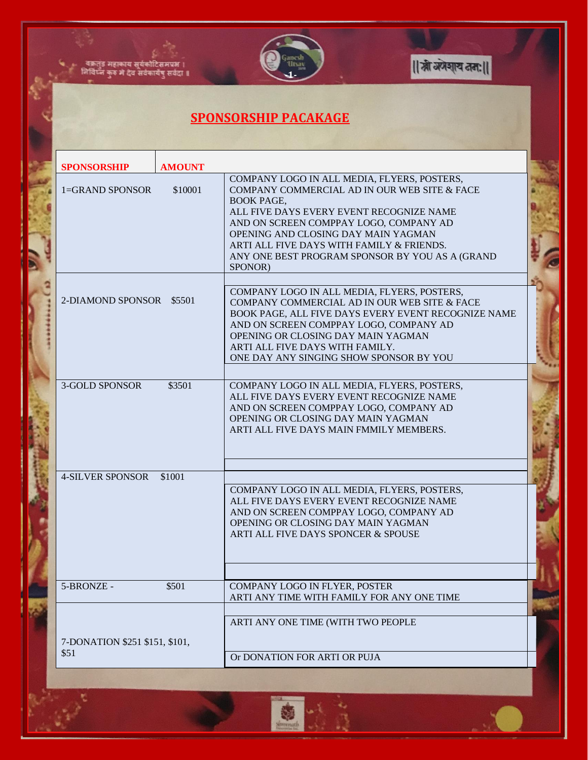

|| स्नी अंगेशाय तता: ||

## **SPONSORSHIP PACAKAGE**

्<br>-<br>निर्विघ्न कुरु मे देव सर्वकार्येषु सर्वदा **।**<br>-

 $\mathbf{r}$ 

| <b>SPONSORSHIP</b>                     | <b>AMOUNT</b> |                                                                                                                                                                                                                                                                                                                                                          |  |
|----------------------------------------|---------------|----------------------------------------------------------------------------------------------------------------------------------------------------------------------------------------------------------------------------------------------------------------------------------------------------------------------------------------------------------|--|
| 1=GRAND SPONSOR                        | \$10001       | COMPANY LOGO IN ALL MEDIA, FLYERS, POSTERS,<br>COMPANY COMMERCIAL AD IN OUR WEB SITE & FACE<br><b>BOOK PAGE,</b><br>ALL FIVE DAYS EVERY EVENT RECOGNIZE NAME<br>AND ON SCREEN COMPPAY LOGO, COMPANY AD<br>OPENING AND CLOSING DAY MAIN YAGMAN<br>ARTI ALL FIVE DAYS WITH FAMILY & FRIENDS.<br>ANY ONE BEST PROGRAM SPONSOR BY YOU AS A (GRAND<br>SPONOR) |  |
| 2-DIAMOND SPONSOR \$5501               |               | COMPANY LOGO IN ALL MEDIA, FLYERS, POSTERS,<br>COMPANY COMMERCIAL AD IN OUR WEB SITE & FACE<br>BOOK PAGE, ALL FIVE DAYS EVERY EVENT RECOGNIZE NAME<br>AND ON SCREEN COMPPAY LOGO, COMPANY AD<br>OPENING OR CLOSING DAY MAIN YAGMAN<br>ARTI ALL FIVE DAYS WITH FAMILY.<br>ONE DAY ANY SINGING SHOW SPONSOR BY YOU                                         |  |
| <b>3-GOLD SPONSOR</b>                  | \$3501        | COMPANY LOGO IN ALL MEDIA, FLYERS, POSTERS,<br>ALL FIVE DAYS EVERY EVENT RECOGNIZE NAME<br>AND ON SCREEN COMPPAY LOGO, COMPANY AD<br>OPENING OR CLOSING DAY MAIN YAGMAN<br>ARTI ALL FIVE DAYS MAIN FMMILY MEMBERS.                                                                                                                                       |  |
| <b>4-SILVER SPONSOR</b>                | \$1001        | COMPANY LOGO IN ALL MEDIA, FLYERS, POSTERS,<br>ALL FIVE DAYS EVERY EVENT RECOGNIZE NAME<br>AND ON SCREEN COMPPAY LOGO, COMPANY AD<br>OPENING OR CLOSING DAY MAIN YAGMAN<br>ARTI ALL FIVE DAYS SPONCER & SPOUSE                                                                                                                                           |  |
| 5-BRONZE -                             | \$501         | COMPANY LOGO IN FLYER, POSTER<br>ARTI ANY TIME WITH FAMILY FOR ANY ONE TIME                                                                                                                                                                                                                                                                              |  |
| 7-DONATION \$251 \$151, \$101,<br>\$51 |               | ARTI ANY ONE TIME (WITH TWO PEOPLE<br>Or DONATION FOR ARTI OR PUJA                                                                                                                                                                                                                                                                                       |  |